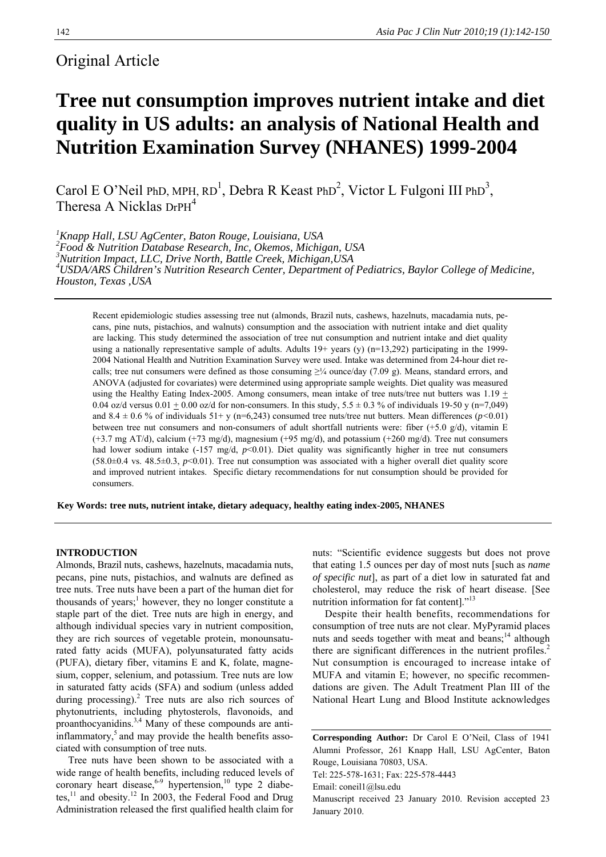# Original Article

# **Tree nut consumption improves nutrient intake and diet quality in US adults: an analysis of National Health and Nutrition Examination Survey (NHANES) 1999-2004**

Carol E O'Neil PhD, MPH,  $RD^1$ , Debra R Keast PhD<sup>2</sup>, Victor L Fulgoni III PhD<sup>3</sup>, Theresa A Nicklas DrPH<sup>4</sup>

 *Knapp Hall, LSU AgCenter, Baton Rouge, Louisiana, USA Food & Nutrition Database Research, Inc, Okemos, Michigan, USA Nutrition Impact, LLC, Drive North, Battle Creek, Michigan,USA USDA/ARS Children's Nutrition Research Center, Department of Pediatrics, Baylor College of Medicine, Houston, Texas ,USA* 

Recent epidemiologic studies assessing tree nut (almonds, Brazil nuts, cashews, hazelnuts, macadamia nuts, pecans, pine nuts, pistachios, and walnuts) consumption and the association with nutrient intake and diet quality are lacking. This study determined the association of tree nut consumption and nutrient intake and diet quality using a nationally representative sample of adults. Adults 19+ years (y) (n=13,292) participating in the 1999- 2004 National Health and Nutrition Examination Survey were used. Intake was determined from 24-hour diet recalls; tree nut consumers were defined as those consuming  $\geq$ ¼ ounce/day (7.09 g). Means, standard errors, and ANOVA (adjusted for covariates) were determined using appropriate sample weights. Diet quality was measured using the Healthy Eating Index-2005. Among consumers, mean intake of tree nuts/tree nut butters was  $1.19 \pm$ 0.04 oz/d versus 0.01  $\pm$  0.00 oz/d for non-consumers. In this study, 5.5  $\pm$  0.3 % of individuals 19-50 y (n=7,049) and 8.4  $\pm$  0.6 % of individuals 51+ y (n=6,243) consumed tree nuts/tree nut butters. Mean differences ( $p$ <0.01) between tree nut consumers and non-consumers of adult shortfall nutrients were: fiber (+5.0 g/d), vitamin E (+3.7 mg AT/d), calcium (+73 mg/d), magnesium (+95 mg/d), and potassium (+260 mg/d). Tree nut consumers had lower sodium intake (-157 mg/d, *p*<0.01). Diet quality was significantly higher in tree nut consumers  $(58.0\pm0.4 \text{ vs. } 48.5\pm0.3, p<0.01)$ . Tree nut consumption was associated with a higher overall diet quality score and improved nutrient intakes. Specific dietary recommendations for nut consumption should be provided for consumers.

**Key Words: tree nuts, nutrient intake, dietary adequacy, healthy eating index-2005, NHANES** 

### **INTRODUCTION**

Almonds, Brazil nuts, cashews, hazelnuts, macadamia nuts, pecans, pine nuts, pistachios, and walnuts are defined as tree nuts. Tree nuts have been a part of the human diet for thousands of years;<sup>1</sup> however, they no longer constitute a staple part of the diet. Tree nuts are high in energy, and although individual species vary in nutrient composition, they are rich sources of vegetable protein, monounsaturated fatty acids (MUFA), polyunsaturated fatty acids (PUFA), dietary fiber, vitamins E and K, folate, magnesium, copper, selenium, and potassium. Tree nuts are low in saturated fatty acids (SFA) and sodium (unless added during processing). $^{2}$  Tree nuts are also rich sources of phytonutrients, including phytosterols, flavonoids, and proanthocyanidins.3,4 Many of these compounds are antiinflammatory, $5$  and may provide the health benefits associated with consumption of tree nuts.

Tree nuts have been shown to be associated with a wide range of health benefits, including reduced levels of coronary heart disease,  $6-9$  hypertension,  $10$  type 2 diabetes, $^{11}$  and obesity.<sup>12</sup> In 2003, the Federal Food and Drug Administration released the first qualified health claim for nuts: "Scientific evidence suggests but does not prove that eating 1.5 ounces per day of most nuts [such as *name of specific nut*], as part of a diet low in saturated fat and cholesterol, may reduce the risk of heart disease. [See nutrition information for fat content]."<sup>13</sup>

Despite their health benefits, recommendations for consumption of tree nuts are not clear. MyPyramid places nuts and seeds together with meat and beans; $^{14}$  although there are significant differences in the nutrient profiles.<sup>2</sup> Nut consumption is encouraged to increase intake of MUFA and vitamin E; however, no specific recommendations are given. The Adult Treatment Plan III of the National Heart Lung and Blood Institute acknowledges

**Corresponding Author:** Dr Carol E O'Neil, Class of 1941 Alumni Professor, 261 Knapp Hall, LSU AgCenter, Baton Rouge, Louisiana 70803, USA. Tel: 225-578-1631; Fax: 225-578-4443 Email: coneil1@lsu.edu Manuscript received 23 January 2010. Revision accepted 23

January 2010.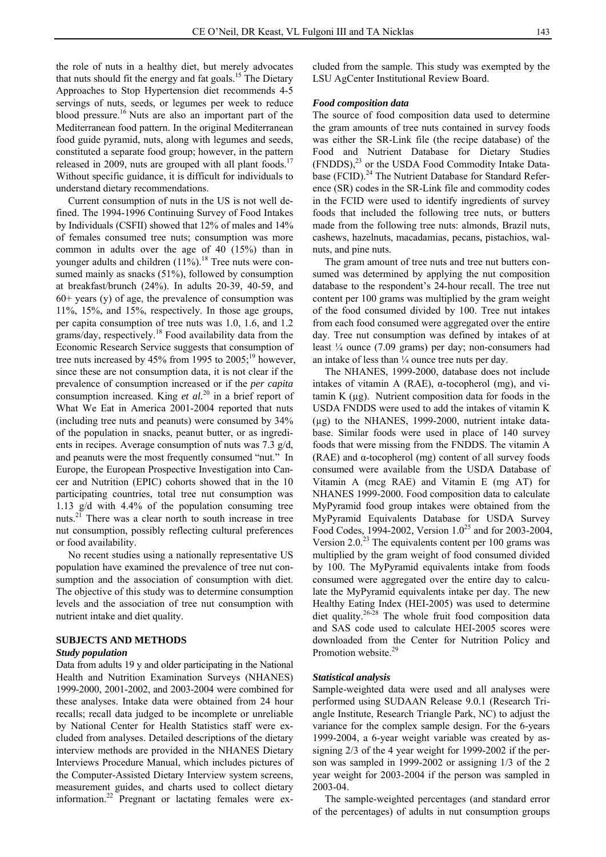the role of nuts in a healthy diet, but merely advocates that nuts should fit the energy and fat goals.<sup>15</sup> The Dietary Approaches to Stop Hypertension diet recommends 4-5 servings of nuts, seeds, or legumes per week to reduce blood pressure.<sup>16</sup> Nuts are also an important part of the Mediterranean food pattern. In the original Mediterranean food guide pyramid, nuts, along with legumes and seeds, constituted a separate food group; however, in the pattern released in 2009, nuts are grouped with all plant foods.<sup>17</sup> Without specific guidance, it is difficult for individuals to understand dietary recommendations.

Current consumption of nuts in the US is not well defined. The 1994-1996 Continuing Survey of Food Intakes by Individuals (CSFII) showed that 12% of males and 14% of females consumed tree nuts; consumption was more common in adults over the age of 40 (15%) than in younger adults and children  $(11\%)$ .<sup>18</sup> Tree nuts were consumed mainly as snacks (51%), followed by consumption at breakfast/brunch (24%). In adults 20-39, 40-59, and  $60+$  years (y) of age, the prevalence of consumption was 11%, 15%, and 15%, respectively. In those age groups, per capita consumption of tree nuts was 1.0, 1.6, and 1.2 grams/day, respectively.<sup>18</sup> Food availability data from the Economic Research Service suggests that consumption of tree nuts increased by 45% from 1995 to  $2005$ ;<sup>19</sup> however, since these are not consumption data, it is not clear if the prevalence of consumption increased or if the *per capita* consumption increased. King *et al.*20 in a brief report of What We Eat in America 2001-2004 reported that nuts (including tree nuts and peanuts) were consumed by 34% of the population in snacks, peanut butter, or as ingredients in recipes. Average consumption of nuts was 7.3 g/d, and peanuts were the most frequently consumed "nut." In Europe, the European Prospective Investigation into Cancer and Nutrition (EPIC) cohorts showed that in the 10 participating countries, total tree nut consumption was 1.13 g/d with 4.4% of the population consuming tree nuts. $2<sup>1</sup>$  There was a clear north to south increase in tree nut consumption, possibly reflecting cultural preferences or food availability.

No recent studies using a nationally representative US population have examined the prevalence of tree nut consumption and the association of consumption with diet. The objective of this study was to determine consumption levels and the association of tree nut consumption with nutrient intake and diet quality.

### **SUBJECTS AND METHODS**

#### *Study population*

Data from adults 19 y and older participating in the National Health and Nutrition Examination Surveys (NHANES) 1999-2000, 2001-2002, and 2003-2004 were combined for these analyses. Intake data were obtained from 24 hour recalls; recall data judged to be incomplete or unreliable by National Center for Health Statistics staff were excluded from analyses. Detailed descriptions of the dietary interview methods are provided in the NHANES Dietary Interviews Procedure Manual, which includes pictures of the Computer-Assisted Dietary Interview system screens, measurement guides, and charts used to collect dietary information.<sup>22</sup> Pregnant or lactating females were ex-

cluded from the sample. This study was exempted by the LSU AgCenter Institutional Review Board.

#### *Food composition data*

The source of food composition data used to determine the gram amounts of tree nuts contained in survey foods was either the SR-Link file (the recipe database) of the Food and Nutrient Database for Dietary Studies  $(FNDDS)$ ,<sup>23</sup> or the USDA Food Commodity Intake Database (FCID).<sup>24</sup> The Nutrient Database for Standard Reference (SR) codes in the SR-Link file and commodity codes in the FCID were used to identify ingredients of survey foods that included the following tree nuts, or butters made from the following tree nuts: almonds, Brazil nuts, cashews, hazelnuts, macadamias, pecans, pistachios, walnuts, and pine nuts.

The gram amount of tree nuts and tree nut butters consumed was determined by applying the nut composition database to the respondent's 24-hour recall. The tree nut content per 100 grams was multiplied by the gram weight of the food consumed divided by 100. Tree nut intakes from each food consumed were aggregated over the entire day. Tree nut consumption was defined by intakes of at least ¼ ounce (7.09 grams) per day; non-consumers had an intake of less than  $\frac{1}{4}$  ounce tree nuts per day.

The NHANES, 1999-2000, database does not include intakes of vitamin A (RAE), α-tocopherol (mg), and vi $t_{\text{t}}$  tamin K ( $\mu$ g). Nutrient composition data for foods in the USDA FNDDS were used to add the intakes of vitamin K (µg) to the NHANES, 1999-2000, nutrient intake database. Similar foods were used in place of 140 survey foods that were missing from the FNDDS. The vitamin A (RAE) and  $\alpha$ -tocopherol (mg) content of all survey foods consumed were available from the USDA Database of Vitamin A (mcg RAE) and Vitamin E (mg AT) for NHANES 1999-2000. Food composition data to calculate MyPyramid food group intakes were obtained from the MyPyramid Equivalents Database for USDA Survey Food Codes, 1994-2002, Version  $1.0^{25}$  and for 2003-2004, Version  $2.0<sup>23</sup>$  The equivalents content per 100 grams was multiplied by the gram weight of food consumed divided by 100. The MyPyramid equivalents intake from foods consumed were aggregated over the entire day to calculate the MyPyramid equivalents intake per day. The new Healthy Eating Index (HEI-2005) was used to determine diet quality.<sup>26-28</sup> The whole fruit food composition data and SAS code used to calculate HEI-2005 scores were downloaded from the Center for Nutrition Policy and Promotion website.<sup>29</sup>

#### *Statistical analysis*

Sample-weighted data were used and all analyses were performed using SUDAAN Release 9.0.1 (Research Triangle Institute, Research Triangle Park, NC) to adjust the variance for the complex sample design. For the 6-years 1999-2004, a 6-year weight variable was created by assigning 2/3 of the 4 year weight for 1999-2002 if the person was sampled in 1999-2002 or assigning 1/3 of the 2 year weight for 2003-2004 if the person was sampled in 2003-04.

The sample-weighted percentages (and standard error of the percentages) of adults in nut consumption groups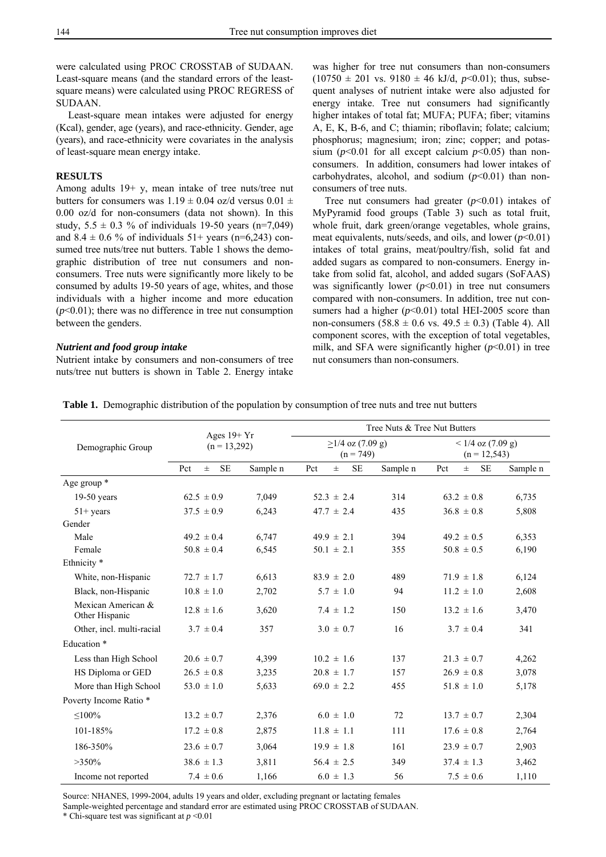were calculated using PROC CROSSTAB of SUDAAN. Least-square means (and the standard errors of the leastsquare means) were calculated using PROC REGRESS of SUDAAN.

Least-square mean intakes were adjusted for energy (Kcal), gender, age (years), and race-ethnicity. Gender, age (years), and race-ethnicity were covariates in the analysis of least-square mean energy intake.

#### **RESULTS**

Among adults 19+ y, mean intake of tree nuts/tree nut butters for consumers was  $1.19 \pm 0.04$  oz/d versus  $0.01 \pm$ 0.00 oz/d for non-consumers (data not shown). In this study,  $5.5 \pm 0.3$  % of individuals 19-50 years (n=7,049) and  $8.4 \pm 0.6$  % of individuals  $51+$  years (n=6,243) consumed tree nuts/tree nut butters. Table 1 shows the demographic distribution of tree nut consumers and nonconsumers. Tree nuts were significantly more likely to be consumed by adults 19-50 years of age, whites, and those individuals with a higher income and more education  $(p<0.01)$ ; there was no difference in tree nut consumption between the genders.

#### *Nutrient and food group intake*

Nutrient intake by consumers and non-consumers of tree nuts/tree nut butters is shown in Table 2. Energy intake was higher for tree nut consumers than non-consumers  $(10750 \pm 201 \text{ vs. } 9180 \pm 46 \text{ kJ/d}, p<0.01)$ ; thus, subsequent analyses of nutrient intake were also adjusted for energy intake. Tree nut consumers had significantly higher intakes of total fat; MUFA; PUFA; fiber; vitamins A, E, K, B-6, and C; thiamin; riboflavin; folate; calcium; phosphorus; magnesium; iron; zinc; copper; and potassium ( $p$ <0.01 for all except calcium  $p$ <0.05) than nonconsumers. In addition, consumers had lower intakes of carbohydrates, alcohol, and sodium  $(p<0.01)$  than nonconsumers of tree nuts.

Tree nut consumers had greater  $(p<0.01)$  intakes of MyPyramid food groups (Table 3) such as total fruit, whole fruit, dark green/orange vegetables, whole grains, meat equivalents, nuts/seeds, and oils, and lower  $(p<0.01)$ intakes of total grains, meat/poultry/fish, solid fat and added sugars as compared to non-consumers. Energy intake from solid fat, alcohol, and added sugars (SoFAAS) was significantly lower  $(p<0.01)$  in tree nut consumers compared with non-consumers. In addition, tree nut consumers had a higher  $(p<0.01)$  total HEI-2005 score than non-consumers (58.8  $\pm$  0.6 vs. 49.5  $\pm$  0.3) (Table 4). All component scores, with the exception of total vegetables, milk, and SFA were significantly higher  $(p<0.01)$  in tree nut consumers than non-consumers.

|                                      | Ages $19+Yr$              |          | Tree Nuts & Tree Nut Butters      |          |                                        |          |  |  |
|--------------------------------------|---------------------------|----------|-----------------------------------|----------|----------------------------------------|----------|--|--|
| Demographic Group                    | $(n = 13,292)$            |          | $>1/4$ oz (7.09 g)<br>$(n = 749)$ |          | $< 1/4$ oz (7.09 g)<br>$(n = 12, 543)$ |          |  |  |
|                                      | <b>SE</b><br>$\pm$<br>Pct | Sample n | <b>SE</b><br>Pct<br>$\pm$         | Sample n | <b>SE</b><br>Pct<br>$\pm$              | Sample n |  |  |
| Age group *                          |                           |          |                                   |          |                                        |          |  |  |
| $19-50$ years                        | $62.5 \pm 0.9$            | 7,049    | $52.3 \pm 2.4$                    | 314      | $63.2 \pm 0.8$                         | 6,735    |  |  |
| $51 + \text{years}$                  | $37.5 \pm 0.9$            | 6,243    | $47.7 \pm 2.4$                    | 435      | $36.8 \pm 0.8$                         | 5,808    |  |  |
| Gender                               |                           |          |                                   |          |                                        |          |  |  |
| Male                                 | $49.2 \pm 0.4$            | 6,747    | $49.9 \pm 2.1$                    | 394      | $49.2 \pm 0.5$                         | 6,353    |  |  |
| Female                               | $50.8 \pm 0.4$            | 6,545    | $50.1 \pm 2.1$                    | 355      | $50.8 \pm 0.5$                         | 6,190    |  |  |
| Ethnicity <sup>*</sup>               |                           |          |                                   |          |                                        |          |  |  |
| White, non-Hispanic                  | $72.7 \pm 1.7$            | 6,613    | $83.9 \pm 2.0$                    | 489      | $71.9 \pm 1.8$                         | 6,124    |  |  |
| Black, non-Hispanic                  | $10.8 \pm 1.0$            | 2,702    | $5.7 \pm 1.0$                     | 94       | $11.2 \pm 1.0$                         | 2,608    |  |  |
| Mexican American &<br>Other Hispanic | $12.8 \pm 1.6$            | 3,620    | $7.4 \pm 1.2$                     | 150      | $13.2 \pm 1.6$                         | 3,470    |  |  |
| Other, incl. multi-racial            | $3.7 \pm 0.4$             | 357      | $3.0 \pm 0.7$                     | 16       | $3.7 \pm 0.4$                          | 341      |  |  |
| Education *                          |                           |          |                                   |          |                                        |          |  |  |
| Less than High School                | $20.6 \pm 0.7$            | 4,399    | $10.2 \pm 1.6$                    | 137      | $21.3 \pm 0.7$                         | 4,262    |  |  |
| HS Diploma or GED                    | $26.5 \pm 0.8$            | 3,235    | $20.8 \pm 1.7$                    | 157      | $26.9 \pm 0.8$                         | 3,078    |  |  |
| More than High School                | $53.0 \pm 1.0$            | 5,633    | $69.0 \pm 2.2$                    | 455      | $51.8 \pm 1.0$                         | 5,178    |  |  |
| Poverty Income Ratio *               |                           |          |                                   |          |                                        |          |  |  |
| $\leq$ 100%                          | $13.2 \pm 0.7$            | 2,376    | $6.0 \pm 1.0$                     | 72       | $13.7 \pm 0.7$                         | 2,304    |  |  |
| 101-185%                             | $17.2 \pm 0.8$            | 2,875    | $11.8 \pm 1.1$                    | 111      | $17.6 \pm 0.8$                         | 2,764    |  |  |
| 186-350%                             | $23.6 \pm 0.7$            | 3,064    | $19.9 \pm 1.8$                    | 161      | $23.9 \pm 0.7$                         | 2,903    |  |  |
| $>350\%$                             | $38.6 \pm 1.3$            | 3,811    | $56.4 \pm 2.5$                    | 349      | $37.4 \pm 1.3$                         | 3,462    |  |  |
| Income not reported                  | $7.4 \pm 0.6$             | 1,166    | $6.0 \pm 1.3$                     | 56       | $7.5 \pm 0.6$                          | 1,110    |  |  |

Source: NHANES, 1999-2004, adults 19 years and older, excluding pregnant or lactating females

Sample-weighted percentage and standard error are estimated using PROC CROSSTAB of SUDAAN.

\* Chi-square test was significant at *p* <0.01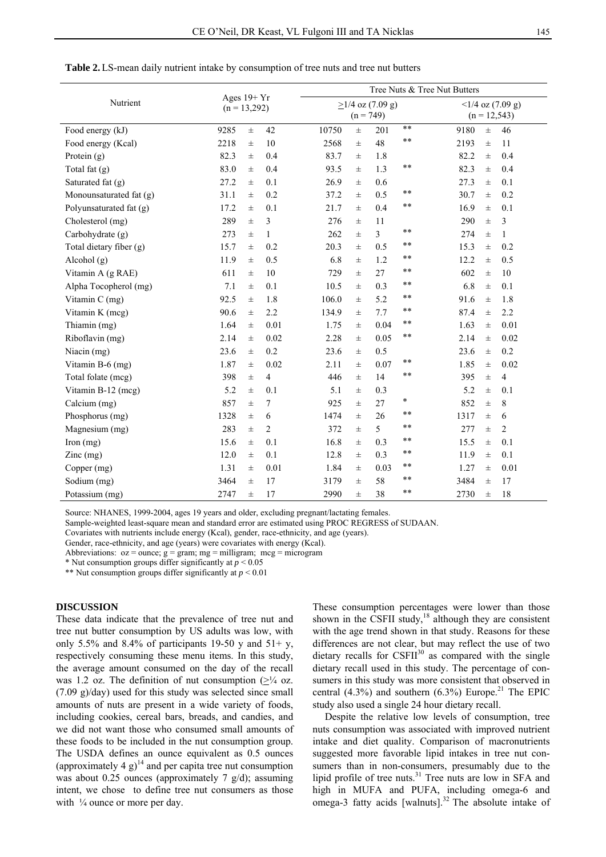|                                            |      |          |                | Tree Nuts & Tree Nut Butters |                                   |                |                                       |      |          |                |
|--------------------------------------------|------|----------|----------------|------------------------------|-----------------------------------|----------------|---------------------------------------|------|----------|----------------|
| Ages $19+Yr$<br>Nutrient<br>$(n = 13,292)$ |      |          |                |                              | $>1/4$ oz (7.09 g)<br>$(n = 749)$ |                | $<1/4$ oz (7.09 g)<br>$(n = 12, 543)$ |      |          |                |
| Food energy (kJ)                           | 9285 | $\pm$    | 42             | 10750                        | $_{\pm}$                          | 201            | $***$                                 | 9180 | $_{\pm}$ | 46             |
| Food energy (Kcal)                         | 2218 | $\pm$    | 10             | 2568                         | 士                                 | 48             | $* *$                                 | 2193 | $_{\pm}$ | 11             |
| Protein $(g)$                              | 82.3 | $\pm$    | 0.4            | 83.7                         | 士                                 | 1.8            |                                       | 82.2 | $\pm$    | 0.4            |
| Total fat (g)                              | 83.0 | $\pm$    | 0.4            | 93.5                         | 士                                 | 1.3            | $* *$                                 | 82.3 | $\pm$    | 0.4            |
| Saturated fat $(g)$                        | 27.2 | $\pm$    | 0.1            | 26.9                         | 士                                 | 0.6            |                                       | 27.3 | $\pm$    | 0.1            |
| Monounsaturated fat (g)                    | 31.1 | $\pm$    | 0.2            | 37.2                         | 士                                 | 0.5            | **                                    | 30.7 | 士        | 0.2            |
| Polyunsaturated fat (g)                    | 17.2 | $\pm$    | 0.1            | 21.7                         | 士                                 | 0.4            | **                                    | 16.9 | 士        | 0.1            |
| Cholesterol (mg)                           | 289  | $\pm$    | 3              | 276                          | $\pm$                             | 11             |                                       | 290  | $\pm$    | 3              |
| Carbohydrate (g)                           | 273  | $\pm$    | 1              | 262                          | 士                                 | $\overline{3}$ | **                                    | 274  | $\pm$    | 1              |
| Total dietary fiber (g)                    | 15.7 | $\pm$    | 0.2            | 20.3                         | 士                                 | 0.5            | $* *$                                 | 15.3 | $_{\pm}$ | 0.2            |
| Alcohol (g)                                | 11.9 | $\pm$    | 0.5            | 6.8                          | 士                                 | 1.2            | **                                    | 12.2 | $\pm$    | 0.5            |
| Vitamin A (g RAE)                          | 611  | $\pm$    | 10             | 729                          | 士                                 | 27             | $* *$                                 | 602  | $\pm$    | 10             |
| Alpha Tocopherol (mg)                      | 7.1  | $_{\pm}$ | 0.1            | 10.5                         | 士                                 | 0.3            | **                                    | 6.8  | $\pm$    | 0.1            |
| Vitamin C (mg)                             | 92.5 | $_{\pm}$ | 1.8            | 106.0                        | 士                                 | 5.2            | $* *$                                 | 91.6 | $\pm$    | 1.8            |
| Vitamin K (mcg)                            | 90.6 | $\pm$    | 2.2            | 134.9                        | 士                                 | 7.7            | **                                    | 87.4 | $\pm$    | 2.2            |
| Thiamin (mg)                               | 1.64 | $\pm$    | 0.01           | 1.75                         | 士                                 | 0.04           | $* *$                                 | 1.63 | $\pm$    | 0.01           |
| Riboflavin (mg)                            | 2.14 | $\pm$    | 0.02           | 2.28                         | 士                                 | 0.05           | $* *$                                 | 2.14 | $_{\pm}$ | 0.02           |
| Niacin $(mg)$                              | 23.6 | $\pm$    | 0.2            | 23.6                         | 士                                 | 0.5            |                                       | 23.6 | $\pm$    | 0.2            |
| Vitamin B-6 (mg)                           | 1.87 | $\pm$    | 0.02           | 2.11                         | $_{\pm}$                          | 0.07           | **                                    | 1.85 | $\pm$    | 0.02           |
| Total folate (mcg)                         | 398  | $_{\pm}$ | 4              | 446                          | 士                                 | 14             | $* *$                                 | 395  | $\pm$    | $\overline{4}$ |
| Vitamin B-12 (mcg)                         | 5.2  | $\pm$    | 0.1            | 5.1                          | 士                                 | 0.3            |                                       | 5.2  | 士        | 0.1            |
| Calcium (mg)                               | 857  | $\pm$    | 7              | 925                          | $\pm$                             | 27             | *                                     | 852  | $\pm$    | $\,$ 8 $\,$    |
| Phosphorus (mg)                            | 1328 | $_{\pm}$ | 6              | 1474                         | 士                                 | 26             | **                                    | 1317 | $\pm$    | 6              |
| Magnesium (mg)                             | 283  | $\pm$    | $\overline{2}$ | 372                          | 士                                 | 5              | $* *$                                 | 277  | $\pm$    | $\overline{2}$ |
| Iron $(mg)$                                | 15.6 | $\pm$    | 0.1            | 16.8                         | 士                                 | 0.3            | $* *$                                 | 15.5 | $\pm$    | 0.1            |
| $Zinc$ (mg)                                | 12.0 | $\pm$    | 0.1            | 12.8                         | $_{\pm}$                          | 0.3            | $* *$                                 | 11.9 | $\pm$    | 0.1            |
| Copper (mg)                                | 1.31 | $\pm$    | 0.01           | 1.84                         | 士                                 | 0.03           | $* *$                                 | 1.27 | 士        | 0.01           |
| Sodium (mg)                                | 3464 | $_{\pm}$ | 17             | 3179                         | 士                                 | 58             | **                                    | 3484 | 士        | 17             |
| Potassium (mg)                             | 2747 | $_{\pm}$ | 17             | 2990                         | 士                                 | 38             | $* *$                                 | 2730 | $\pm$    | 18             |

**Table 2.**LS-mean daily nutrient intake by consumption of tree nuts and tree nut butters

Source: NHANES, 1999-2004, ages 19 years and older, excluding pregnant/lactating females.

Sample-weighted least-square mean and standard error are estimated using PROC REGRESS of SUDAAN.

Covariates with nutrients include energy (Kcal), gender, race-ethnicity, and age (years).

Gender, race-ethnicity, and age (years) were covariates with energy (Kcal).

Abbreviations:  $oz = ounce$ ;  $g = gram$ ;  $mg = milligram$ ;  $mcg = microgram$ 

\* Nut consumption groups differ significantly at  $p < 0.05$ 

\*\* Nut consumption groups differ significantly at *p* < 0.01

## **DISCUSSION**

These data indicate that the prevalence of tree nut and tree nut butter consumption by US adults was low, with only 5.5% and 8.4% of participants 19-50 y and  $51+$  y, respectively consuming these menu items. In this study, the average amount consumed on the day of the recall was 1.2 oz. The definition of nut consumption  $(\geq)$ <sup>1</sup>/4 oz. (7.09 g)/day) used for this study was selected since small amounts of nuts are present in a wide variety of foods, including cookies, cereal bars, breads, and candies, and we did not want those who consumed small amounts of these foods to be included in the nut consumption group. The USDA defines an ounce equivalent as 0.5 ounces (approximately 4  $g$ )<sup>14</sup> and per capita tree nut consumption was about 0.25 ounces (approximately 7  $g/d$ ); assuming intent, we chose to define tree nut consumers as those with  $\frac{1}{4}$  ounce or more per day.

These consumption percentages were lower than those shown in the CSFII study,<sup>18</sup> although they are consistent with the age trend shown in that study. Reasons for these differences are not clear, but may reflect the use of two dietary recalls for  $\text{CSFI}^{30}$  as compared with the single dietary recall used in this study. The percentage of consumers in this study was more consistent that observed in central  $(4.3\%)$  and southern  $(6.3\%)$  Europe.<sup>21</sup> The EPIC study also used a single 24 hour dietary recall.

Despite the relative low levels of consumption, tree nuts consumption was associated with improved nutrient intake and diet quality. Comparison of macronutrients suggested more favorable lipid intakes in tree nut consumers than in non-consumers, presumably due to the lipid profile of tree nuts.<sup>31</sup> Tree nuts are low in SFA and high in MUFA and PUFA, including omega-6 and omega-3 fatty acids [walnuts].<sup>32</sup> The absolute intake of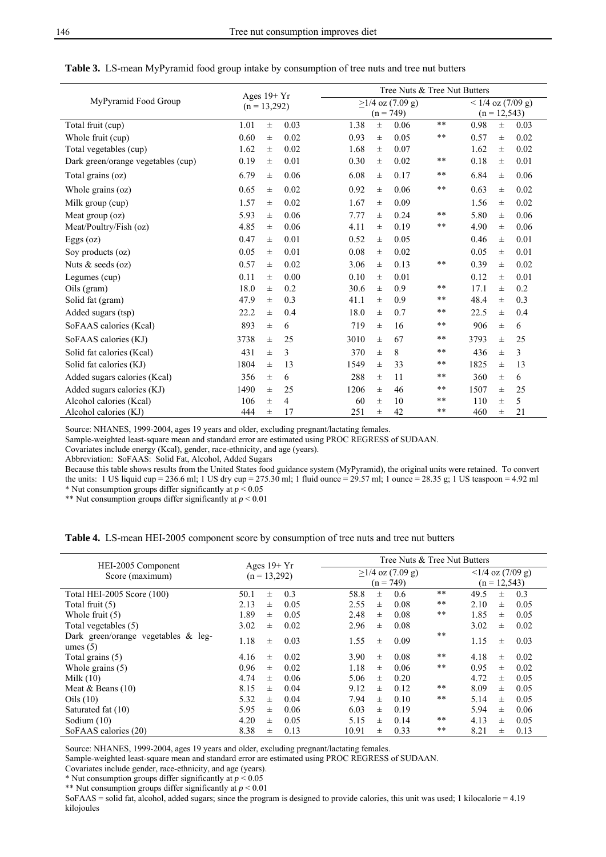|                                    | Ages $19+Yr$<br>$(n = 13,292)$ |       |                |      | Tree Nuts & Tree Nut Butters |      |                 |      |       |                     |  |  |
|------------------------------------|--------------------------------|-------|----------------|------|------------------------------|------|-----------------|------|-------|---------------------|--|--|
| MyPyramid Food Group               |                                |       |                |      | $>1/4$ oz (7.09 g)           |      |                 |      |       | $< 1/4$ oz (7/09 g) |  |  |
|                                    |                                |       |                |      | $(n = 749)$                  |      | $(n = 12, 543)$ |      |       |                     |  |  |
| Total fruit (cup)                  | 1.01                           | $\pm$ | 0.03           | 1.38 | $\pm$                        | 0.06 | **              | 0.98 | $\pm$ | 0.03                |  |  |
| Whole fruit (cup)                  | 0.60                           | $\pm$ | 0.02           | 0.93 | $\pm$                        | 0.05 | **              | 0.57 | $\pm$ | 0.02                |  |  |
| Total vegetables (cup)             | 1.62                           | $\pm$ | 0.02           | 1.68 | $\pm$                        | 0.07 |                 | 1.62 | $\pm$ | 0.02                |  |  |
| Dark green/orange vegetables (cup) | 0.19                           | $\pm$ | 0.01           | 0.30 | $_{\pm}$                     | 0.02 | **              | 0.18 | $\pm$ | 0.01                |  |  |
| Total grains (oz)                  | 6.79                           | $\pm$ | 0.06           | 6.08 | $_{\pm}$                     | 0.17 | **              | 6.84 | $\pm$ | 0.06                |  |  |
| Whole grains $(oz)$                | 0.65                           | $\pm$ | 0.02           | 0.92 | $\pm$                        | 0.06 | **              | 0.63 | $\pm$ | 0.02                |  |  |
| Milk group (cup)                   | 1.57                           | $\pm$ | 0.02           | 1.67 | $_{\pm}$                     | 0.09 |                 | 1.56 | $\pm$ | 0.02                |  |  |
| Meat group (oz)                    | 5.93                           | $\pm$ | 0.06           | 7.77 | $\pm$                        | 0.24 | **              | 5.80 | $\pm$ | 0.06                |  |  |
| Meat/Poultry/Fish (oz)             | 4.85                           | $\pm$ | 0.06           | 4.11 | $\pm$                        | 0.19 | **              | 4.90 | $\pm$ | 0.06                |  |  |
| Eggs (oz)                          | 0.47                           | $\pm$ | 0.01           | 0.52 | $\pm$                        | 0.05 |                 | 0.46 | $\pm$ | 0.01                |  |  |
| Soy products $(oz)$                | 0.05                           | $\pm$ | 0.01           | 0.08 | $\pm$                        | 0.02 |                 | 0.05 | $\pm$ | 0.01                |  |  |
| Nuts $&$ seeds (oz)                | 0.57                           | $\pm$ | 0.02           | 3.06 | $\pm$                        | 0.13 | **              | 0.39 | $\pm$ | 0.02                |  |  |
| Legumes (cup)                      | 0.11                           | $\pm$ | 0.00           | 0.10 | $\pm$                        | 0.01 |                 | 0.12 | $\pm$ | 0.01                |  |  |
| Oils (gram)                        | 18.0                           | $\pm$ | 0.2            | 30.6 | $\pm$                        | 0.9  | **              | 17.1 | $\pm$ | 0.2                 |  |  |
| Solid fat (gram)                   | 47.9                           | $\pm$ | 0.3            | 41.1 | $\pm$                        | 0.9  | **              | 48.4 | $\pm$ | 0.3                 |  |  |
| Added sugars (tsp)                 | 22.2                           | $\pm$ | 0.4            | 18.0 | $_{\pm}$                     | 0.7  | **              | 22.5 | 士     | 0.4                 |  |  |
| SoFAAS calories (Kcal)             | 893                            | $\pm$ | 6              | 719  | $\pm$                        | 16   | **              | 906  | $\pm$ | 6                   |  |  |
| SoFAAS calories (KJ)               | 3738                           | $\pm$ | 25             | 3010 | $\pm$                        | 67   | **              | 3793 | $\pm$ | 25                  |  |  |
| Solid fat calories (Kcal)          | 431                            | $\pm$ | 3              | 370  | $\pm$                        | 8    | **              | 436  | 士     | 3                   |  |  |
| Solid fat calories (KJ)            | 1804                           | $\pm$ | 13             | 1549 | $\pm$                        | 33   | **              | 1825 | 士     | 13                  |  |  |
| Added sugars calories (Kcal)       | 356                            | $\pm$ | 6              | 288  | Ŧ                            | 11   | **              | 360  | $\pm$ | 6                   |  |  |
| Added sugars calories (KJ)         | 1490                           | $\pm$ | 25             | 1206 | $\pm$                        | 46   | **              | 1507 | $\pm$ | 25                  |  |  |
| Alcohol calories (Kcal)            | 106                            | $\pm$ | $\overline{4}$ | 60   | $\pm$                        | 10   | **              | 110  | $\pm$ | 5                   |  |  |
| Alcohol calories (KJ)              | 444                            | $\pm$ | 17             | 251  | $\pm$                        | 42   | **              | 460  | 士     | 21                  |  |  |

#### **Table 3.** LS-mean MyPyramid food group intake by consumption of tree nuts and tree nut butters

Source: NHANES, 1999-2004, ages 19 years and older, excluding pregnant/lactating females.

Sample-weighted least-square mean and standard error are estimated using PROC REGRESS of SUDAAN.

Covariates include energy (Kcal), gender, race-ethnicity, and age (years).

Abbreviation: SoFAAS: Solid Fat, Alcohol, Added Sugars

Because this table shows results from the United States food guidance system (MyPyramid), the original units were retained. To convert the units: 1 US liquid cup = 236.6 ml; 1 US dry cup = 275.30 ml; 1 fluid ounce = 29.57 ml; 1 ounce = 28.35 g; 1 US teaspoon = 4.92 ml

\* Nut consumption groups differ significantly at  $p < 0.05$ 

\*\* Nut consumption groups differ significantly at *p* < 0.01

|  |  |  | <b>Table 4.</b> LS-mean HEI-2005 component score by consumption of tree nuts and tree nut butters |  |  |  |  |  |  |  |  |  |
|--|--|--|---------------------------------------------------------------------------------------------------|--|--|--|--|--|--|--|--|--|
|--|--|--|---------------------------------------------------------------------------------------------------|--|--|--|--|--|--|--|--|--|

| HEI-2005 Component                                   | Ages $19+Yr$<br>$(n = 13,292)$ |          |      | Tree Nuts & Tree Nut Butters                               |
|------------------------------------------------------|--------------------------------|----------|------|------------------------------------------------------------|
|                                                      |                                |          |      | $\langle 1/4$ oz (7/09 g)<br>$>1/4$ oz (7.09 g)            |
| Score (maximum)                                      |                                |          |      | $(n = 749)$<br>$(n = 12, 543)$                             |
| Total HEI-2005 Score (100)                           | 50.1                           | $_{\pm}$ | 0.3  | $***$<br>58.8<br>49.5<br>0.6<br>0.3<br>Ŧ<br>$\pm$          |
| Total fruit (5)                                      | 2.13                           | 士        | 0.05 | $* *$<br>2.55<br>0.08<br>2.10<br>0.05<br>$\pm$<br>$_{\pm}$ |
| Whole fruit $(5)$                                    | 1.89                           | 士        | 0.05 | $* *$<br>1.85<br>2.48<br>0.08<br>0.05<br>$\pm$<br>$\pm$    |
| Total vegetables (5)                                 | 3.02                           | $_{\pm}$ | 0.02 | 2.96<br>3.02<br>0.08<br>0.02<br>Ŧ<br>$_{\pm}$              |
| Dark green/orange vegetables $\&$ leg-<br>umes $(5)$ | 1.18                           | $_{\pm}$ | 0.03 | **<br>1.55<br>0.09<br>1.15<br>0.03<br>$\pm$<br>$\pm$       |
| Total grains (5)                                     | 4.16                           | $\pm$    | 0.02 | $* *$<br>4.18<br>3.90<br>0.08<br>0.02<br>$\pm$<br>$+$      |
| Whole grains $(5)$                                   | 0.96                           | $\pm$    | 0.02 | $***$<br>0.95<br>1.18<br>0.06<br>0.02<br>$\pm$<br>$+$      |
| Milk $(10)$                                          | 4.74                           | 士        | 0.06 | 5.06<br>4.72<br>0.20<br>0.05<br>$_{\pm}$<br>士              |
| Meat & Beans $(10)$                                  | 8.15                           | $_{\pm}$ | 0.04 | $***$<br>8.09<br>9.12<br>0.12<br>0.05<br>$\pm$<br>$+$      |
| Oils $(10)$                                          | 5.32                           | $\pm$    | 0.04 | $* *$<br>5.14<br>7.94<br>0.10<br>0.05<br>$+$<br>$\pm$      |
| Saturated fat (10)                                   | 5.95                           | $_{\pm}$ | 0.06 | 5.94<br>6.03<br>0.19<br>0.06<br>$+$<br>士                   |
| Sodium $(10)$                                        | 4.20                           | $\pm$    | 0.05 | 4.13<br>**<br>5.15<br>0.14<br>0.05<br>Ŧ<br>$+$             |
| SoFAAS calories (20)                                 | 8.38                           | 士        | 0.13 | $* *$<br>10.91<br>0.33<br>8.21<br>0.13<br>士<br>$_{\pm}$    |

Source: NHANES, 1999-2004, ages 19 years and older, excluding pregnant/lactating females.

Sample-weighted least-square mean and standard error are estimated using PROC REGRESS of SUDAAN.

Covariates include gender, race-ethnicity, and age (years).

\* Nut consumption groups differ significantly at *p* < 0.05

\*\* Nut consumption groups differ significantly at  $p \le 0.01$ 

SoFAAS = solid fat, alcohol, added sugars; since the program is designed to provide calories, this unit was used; 1 kilocalorie = 4.19 kilojoules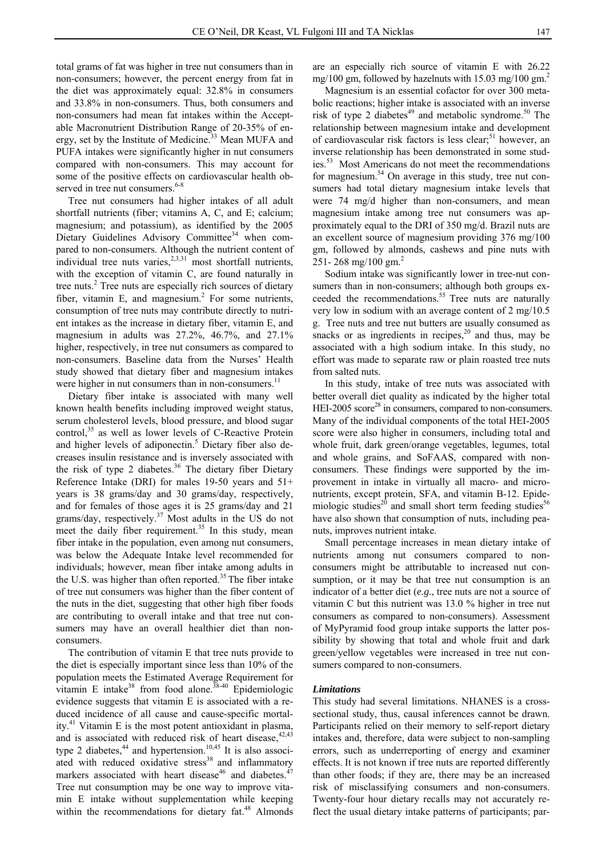total grams of fat was higher in tree nut consumers than in non-consumers; however, the percent energy from fat in the diet was approximately equal: 32.8% in consumers and 33.8% in non-consumers. Thus, both consumers and non-consumers had mean fat intakes within the Acceptable Macronutrient Distribution Range of 20-35% of energy, set by the Institute of Medicine.<sup>33</sup> Mean MUFA and PUFA intakes were significantly higher in nut consumers compared with non-consumers. This may account for some of the positive effects on cardiovascular health observed in tree nut consumers.<sup>6-8</sup>

Tree nut consumers had higher intakes of all adult shortfall nutrients (fiber; vitamins A, C, and E; calcium; magnesium; and potassium), as identified by the 2005 Dietary Guidelines Advisory Committee<sup>34</sup> when compared to non-consumers. Although the nutrient content of individual tree nuts varies, $2,3,31$  most shortfall nutrients, with the exception of vitamin C, are found naturally in tree nuts.<sup>2</sup> Tree nuts are especially rich sources of dietary fiber, vitamin E, and magnesium.<sup>2</sup> For some nutrients, consumption of tree nuts may contribute directly to nutrient intakes as the increase in dietary fiber, vitamin E, and magnesium in adults was 27.2%, 46.7%, and 27.1% higher, respectively, in tree nut consumers as compared to non-consumers. Baseline data from the Nurses' Health study showed that dietary fiber and magnesium intakes were higher in nut consumers than in non-consumers.<sup>11</sup>

Dietary fiber intake is associated with many well known health benefits including improved weight status, serum cholesterol levels, blood pressure, and blood sugar control, $35$  as well as lower levels of C-Reactive Protein and higher levels of adiponectin.<sup>5</sup> Dietary fiber also decreases insulin resistance and is inversely associated with the risk of type 2 diabetes. $36$  The dietary fiber Dietary Reference Intake (DRI) for males 19-50 years and 51+ years is 38 grams/day and 30 grams/day, respectively, and for females of those ages it is 25 grams/day and 21 grams/day, respectively.37 Most adults in the US do not meet the daily fiber requirement.<sup>35</sup> In this study, mean fiber intake in the population, even among nut consumers, was below the Adequate Intake level recommended for individuals; however, mean fiber intake among adults in the U.S. was higher than often reported.<sup>35</sup> The fiber intake of tree nut consumers was higher than the fiber content of the nuts in the diet, suggesting that other high fiber foods are contributing to overall intake and that tree nut consumers may have an overall healthier diet than nonconsumers.

The contribution of vitamin E that tree nuts provide to the diet is especially important since less than 10% of the population meets the Estimated Average Requirement for vitamin E intake<sup>38</sup> from food alone.<sup>38-40</sup> Epidemiologic evidence suggests that vitamin E is associated with a reduced incidence of all cause and cause-specific mortality.<sup>41</sup> Vitamin E is the most potent antioxidant in plasma, and is associated with reduced risk of heart disease, $42,43$ type 2 diabetes, $44$  and hypertension.<sup>10,45</sup> It is also associated with reduced oxidative stress<sup>38</sup> and inflammatory markers associated with heart disease<sup>46</sup> and diabetes.<sup>47</sup> Tree nut consumption may be one way to improve vitamin E intake without supplementation while keeping within the recommendations for dietary fat.<sup>48</sup> Almonds

are an especially rich source of vitamin E with 26.22 mg/100 gm, followed by hazelnuts with  $15.03$  mg/100 gm.<sup>2</sup>

Magnesium is an essential cofactor for over 300 metabolic reactions; higher intake is associated with an inverse risk of type 2 diabetes $49$  and metabolic syndrome.<sup>50</sup> The relationship between magnesium intake and development of cardiovascular risk factors is less clear;<sup>51</sup> however, an inverse relationship has been demonstrated in some studies.53 Most Americans do not meet the recommendations for magnesium.<sup>54</sup> On average in this study, tree nut consumers had total dietary magnesium intake levels that were 74 mg/d higher than non-consumers, and mean magnesium intake among tree nut consumers was approximately equal to the DRI of 350 mg/d. Brazil nuts are an excellent source of magnesium providing 376 mg/100 gm, followed by almonds, cashews and pine nuts with 251- 268 mg/100 gm.<sup>2</sup>

Sodium intake was significantly lower in tree-nut consumers than in non-consumers; although both groups exceeded the recommendations.<sup>55</sup> Tree nuts are naturally very low in sodium with an average content of 2 mg/10.5 g. Tree nuts and tree nut butters are usually consumed as snacks or as ingredients in recipes, $20$  and thus, may be associated with a high sodium intake. In this study, no effort was made to separate raw or plain roasted tree nuts from salted nuts.

In this study, intake of tree nuts was associated with better overall diet quality as indicated by the higher total HEI-2005 score<sup>28</sup> in consumers, compared to non-consumers. Many of the individual components of the total HEI-2005 score were also higher in consumers, including total and whole fruit, dark green/orange vegetables, legumes, total and whole grains, and SoFAAS, compared with nonconsumers. These findings were supported by the improvement in intake in virtually all macro- and micronutrients, except protein, SFA, and vitamin B-12. Epidemiologic studies<sup>20</sup> and small short term feeding studies<sup>56</sup> have also shown that consumption of nuts, including peanuts, improves nutrient intake.

Small percentage increases in mean dietary intake of nutrients among nut consumers compared to nonconsumers might be attributable to increased nut consumption, or it may be that tree nut consumption is an indicator of a better diet (*e.g.*, tree nuts are not a source of vitamin C but this nutrient was 13.0 % higher in tree nut consumers as compared to non-consumers). Assessment of MyPyramid food group intake supports the latter possibility by showing that total and whole fruit and dark green/yellow vegetables were increased in tree nut consumers compared to non-consumers.

#### *Limitations*

This study had several limitations. NHANES is a crosssectional study, thus, causal inferences cannot be drawn. Participants relied on their memory to self-report dietary intakes and, therefore, data were subject to non-sampling errors, such as underreporting of energy and examiner effects. It is not known if tree nuts are reported differently than other foods; if they are, there may be an increased risk of misclassifying consumers and non-consumers. Twenty-four hour dietary recalls may not accurately reflect the usual dietary intake patterns of participants; par-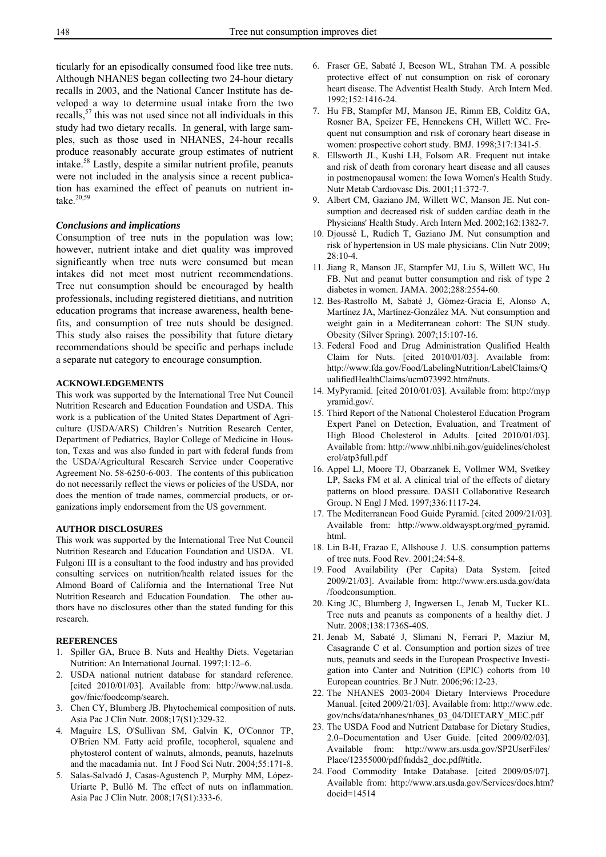ticularly for an episodically consumed food like tree nuts. Although NHANES began collecting two 24-hour dietary recalls in 2003, and the National Cancer Institute has developed a way to determine usual intake from the two recalls,  $57$  this was not used since not all individuals in this study had two dietary recalls. In general, with large samples, such as those used in NHANES, 24-hour recalls produce reasonably accurate group estimates of nutrient intake.58 Lastly, despite a similar nutrient profile, peanuts were not included in the analysis since a recent publication has examined the effect of peanuts on nutrient intake. $20,59$ 

#### *Conclusions and implications*

Consumption of tree nuts in the population was low; however, nutrient intake and diet quality was improved significantly when tree nuts were consumed but mean intakes did not meet most nutrient recommendations. Tree nut consumption should be encouraged by health professionals, including registered dietitians, and nutrition education programs that increase awareness, health benefits, and consumption of tree nuts should be designed. This study also raises the possibility that future dietary recommendations should be specific and perhaps include a separate nut category to encourage consumption.

### **ACKNOWLEDGEMENTS**

This work was supported by the International Tree Nut Council Nutrition Research and Education Foundation and USDA. This work is a publication of the United States Department of Agriculture (USDA/ARS) Children's Nutrition Research Center, Department of Pediatrics, Baylor College of Medicine in Houston, Texas and was also funded in part with federal funds from the USDA/Agricultural Research Service under Cooperative Agreement No. 58-6250-6-003. The contents of this publication do not necessarily reflect the views or policies of the USDA, nor does the mention of trade names, commercial products, or organizations imply endorsement from the US government.

#### **AUTHOR DISCLOSURES**

This work was supported by the International Tree Nut Council Nutrition Research and Education Foundation and USDA. VL Fulgoni III is a consultant to the food industry and has provided consulting services on nutrition/health related issues for the Almond Board of California and the International Tree Nut Nutrition Research and Education Foundation. The other authors have no disclosures other than the stated funding for this research.

#### **REFERENCES**

- 1. Spiller GA, Bruce B. Nuts and Healthy Diets. Vegetarian Nutrition: An International Journal. 1997;1:12–6.
- 2. USDA national nutrient database for standard reference. [cited 2010/01/03]. Available from: http://www.nal.usda. gov/fnic/foodcomp/search.
- 3. Chen CY, Blumberg JB. Phytochemical composition of nuts. Asia Pac J Clin Nutr. 2008;17(S1):329-32.
- 4. Maguire LS, O'Sullivan SM, Galvin K, O'Connor TP, O'Brien NM. Fatty acid profile, tocopherol, squalene and phytosterol content of walnuts, almonds, peanuts, hazelnuts and the macadamia nut. Int J Food Sci Nutr. 2004;55:171-8.
- 5. Salas-Salvadó J, Casas-Agustench P, Murphy MM, López-Uriarte P, Bulló M. The effect of nuts on inflammation. Asia Pac J Clin Nutr. 2008;17(S1):333-6.
- 6. Fraser GE, Sabaté J, Beeson WL, Strahan TM. A possible protective effect of nut consumption on risk of coronary heart disease. The Adventist Health Study. Arch Intern Med. 1992;152:1416-24.
- 7. Hu FB, Stampfer MJ, Manson JE, Rimm EB, Colditz GA, Rosner BA, Speizer FE, Hennekens CH, Willett WC. Frequent nut consumption and risk of coronary heart disease in women: prospective cohort study. BMJ. 1998;317:1341-5.
- 8. Ellsworth JL, Kushi LH, Folsom AR. Frequent nut intake and risk of death from coronary heart disease and all causes in postmenopausal women: the Iowa Women's Health Study. Nutr Metab Cardiovasc Dis. 2001;11:372-7.
- 9. Albert CM, Gaziano JM, Willett WC, Manson JE. Nut consumption and decreased risk of sudden cardiac death in the Physicians' Health Study. Arch Intern Med. 2002;162:1382-7.
- 10. Djoussé L, Rudich T, Gaziano JM. Nut consumption and risk of hypertension in US male physicians. Clin Nutr 2009; 28:10-4.
- 11. Jiang R, Manson JE, Stampfer MJ, Liu S, Willett WC, Hu FB. Nut and peanut butter consumption and risk of type 2 diabetes in women. JAMA. 2002;288:2554-60.
- 12. Bes-Rastrollo M, Sabaté J, Gómez-Gracia E, Alonso A, Martínez JA, Martínez-González MA. Nut consumption and weight gain in a Mediterranean cohort: The SUN study. Obesity (Silver Spring). 2007;15:107-16.
- 13. Federal Food and Drug Administration Qualified Health Claim for Nuts. [cited 2010/01/03]. Available from: http://www.fda.gov/Food/LabelingNutrition/LabelClaims/Q ualifiedHealthClaims/ucm073992.htm#nuts.
- 14. MyPyramid. [cited 2010/01/03]. Available from: http://myp yramid.gov/.
- 15. Third Report of the National Cholesterol Education Program Expert Panel on Detection, Evaluation, and Treatment of High Blood Cholesterol in Adults. [cited 2010/01/03]. Available from: http://www.nhlbi.nih.gov/guidelines/cholest erol/atp3full.pdf
- 16. Appel LJ, Moore TJ, Obarzanek E, Vollmer WM, Svetkey LP, Sacks FM et al. A clinical trial of the effects of dietary patterns on blood pressure. DASH Collaborative Research Group. N Engl J Med. 1997;336:1117-24.
- 17. The Mediterranean Food Guide Pyramid. [cited 2009/21/03]. Available from: http://www.oldwayspt.org/med\_pyramid. html.
- 18. Lin B-H, Frazao E, Allshouse J. U.S. consumption patterns of tree nuts. Food Rev. 2001;24:54-8.
- 19. Food Availability (Per Capita) Data System. [cited 2009/21/03]. Available from: http://www.ers.usda.gov/data /foodconsumption.
- 20. King JC, Blumberg J, Ingwersen L, Jenab M, Tucker KL. Tree nuts and peanuts as components of a healthy diet. J Nutr. 2008;138:1736S-40S.
- 21. Jenab M, Sabaté J, Slimani N, Ferrari P, Maziur M, Casagrande C et al. Consumption and portion sizes of tree nuts, peanuts and seeds in the European Prospective Investigation into Canter and Nutrition (EPIC) cohorts from 10 European countries. Br J Nutr. 2006;96:12-23.
- 22. The NHANES 2003-2004 Dietary Interviews Procedure Manual. [cited 2009/21/03]. Available from: http://www.cdc. gov/nchs/data/nhanes/nhanes\_03\_04/DIETARY\_MEC.pdf
- 23. The USDA Food and Nutrient Database for Dietary Studies, 2.0–Documentation and User Guide. [cited 2009/02/03]. Available from: http://www.ars.usda.gov/SP2UserFiles/ Place/12355000/pdf/fndds2\_doc.pdf#title.
- 24. Food Commodity Intake Database. [cited 2009/05/07]. Available from: http://www.ars.usda.gov/Services/docs.htm? docid=14514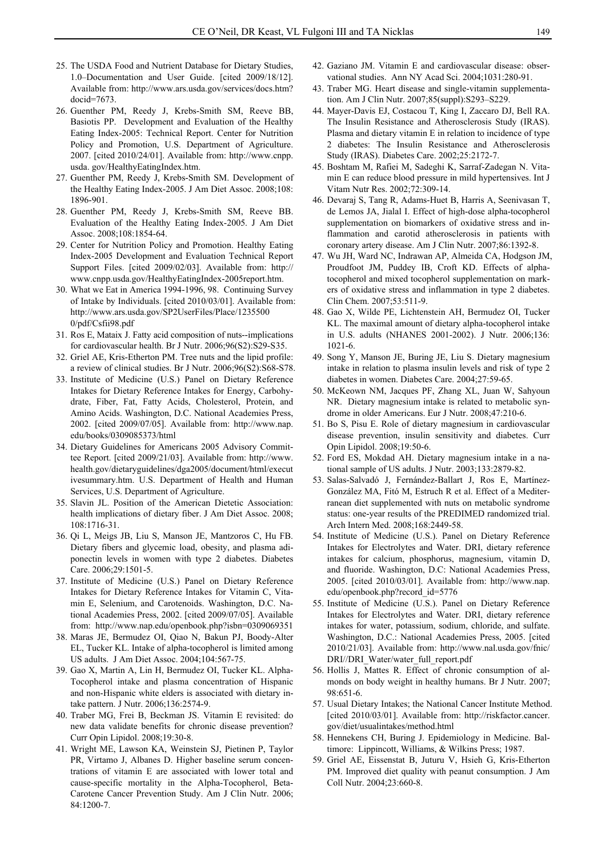- 25. The USDA Food and Nutrient Database for Dietary Studies, 1.0–Documentation and User Guide. [cited 2009/18/12]. Available from: http://www.ars.usda.gov/services/docs.htm? docid=7673.
- 26. Guenther PM, Reedy J, Krebs-Smith SM, Reeve BB, Basiotis PP. Development and Evaluation of the Healthy Eating Index-2005: Technical Report. Center for Nutrition Policy and Promotion, U.S. Department of Agriculture. 2007. [cited 2010/24/01]. Available from: http://www.cnpp. usda. gov/HealthyEatingIndex.htm.
- 27. Guenther PM, Reedy J, Krebs-Smith SM. Development of the Healthy Eating Index-2005. J Am Diet Assoc. 2008;108: 1896-901.
- 28. Guenther PM, Reedy J, Krebs-Smith SM, Reeve BB. Evaluation of the Healthy Eating Index-2005. J Am Diet Assoc. 2008;108:1854-64.
- 29. Center for Nutrition Policy and Promotion. Healthy Eating Index-2005 Development and Evaluation Technical Report Support Files. [cited 2009/02/03]. Available from: http:// www.cnpp.usda.gov/HealthyEatingIndex-2005report.htm.
- 30. What we Eat in America 1994-1996, 98. Continuing Survey of Intake by Individuals. [cited 2010/03/01]. Available from: http://www.ars.usda.gov/SP2UserFiles/Place/1235500 0/pdf/Csfii98.pdf
- 31. Ros E, Mataix J. Fatty acid composition of nuts--implications for cardiovascular health. Br J Nutr. 2006;96(S2):S29-S 35.
- 32. Griel AE, Kris-Etherton PM. Tree nuts and the lipid profile: a review of clinical studies. Br J Nutr. 2006;96(S2):S68-S78.
- 33. Institute of Medicine (U.S.) Panel on Dietary Reference Intakes for Dietary Reference Intakes for Energy, Carbohydrate, Fiber, Fat, Fatty Acids, Cholesterol, Protein, and Amino Acids. Washington, D.C. National Academies Press, 2002. [cited 2009/07/05]. Available from: http://www.nap. edu/books/0309085373/html
- 34. Dietary Guidelines for Americans 2005 Advisory Committee Report. [cited 2009/21/03]. Available from: http://www. health.gov/dietaryguidelines/dga2005/document/html/execut ivesummary.htm. U.S. Department of Health and Human Services, U.S. Department of Agriculture.
- 35. Slavin JL. Position of the American Dietetic Association: health implications of dietary fiber. J Am Diet Assoc. 2008; 108:1716-31.
- 36. Qi L, Meigs JB, Liu S, Manson JE, Mantzoros C, Hu FB. Dietary fibers and glycemic load, obesity, and plasma adiponectin levels in women with type 2 diabetes. Diabetes Care. 2006;29:1501-5.
- 37. Institute of Medicine (U.S.) Panel on Dietary Reference Intakes for Dietary Reference Intakes for Vitamin C, Vitamin E, Selenium, and Carotenoids. Washington, D.C. National Academies Press, 2002. [cited 2009/07/05]. Available from: http://www.nap.edu/openbook.php?isbn=0309069351
- 38. Maras JE, Bermudez OI, Qiao N, Bakun PJ, Boody-Alter EL, Tucker KL. Intake of alpha-tocopherol is limited among US adults. J Am Diet Assoc. 2004;104:567-75.
- 39. Gao X, Martin A, Lin H, Bermudez OI, Tucker KL. Alpha-Tocopherol intake and plasma concentration of Hispanic and non-Hispanic white elders is associated with dietary intake pattern. J Nutr. 2006;136:2574-9.
- 40. Traber MG, Frei B, Beckman JS. Vitamin E revisited: do new data validate benefits for chronic disease prevention? Curr Opin Lipidol. 2008;19:30-8.
- 41. Wright ME, Lawson KA, Weinstein SJ, Pietinen P, Taylor PR, Virtamo J, Albanes D. Higher baseline serum concentrations of vitamin E are associated with lower total and cause-specific mortality in the Alpha-Tocopherol, Beta-Carotene Cancer Prevention Study. Am J Clin Nutr. 2006; 84:1200-7.
- 42. Gaziano JM. Vitamin E and cardiovascular disease: observational studies. Ann NY Acad Sci. 2004;1031:280-91.
- 43. Traber MG. Heart disease and single-vitamin supplementation. Am J Clin Nutr. 2007;85(suppl):S293–S229.
- 44. Mayer-Davis EJ, Costacou T, King I, Zaccaro DJ, Bell RA. The Insulin Resistance and Atherosclerosis Study (IRAS). Plasma and dietary vitamin E in relation to incidence of type 2 diabetes: The Insulin Resistance and Atherosclerosis Study (IRAS). Diabetes Care. 2002;25:2172-7.
- 45. Boshtam M, Rafiei M, Sadeghi K, Sarraf-Zadegan N. Vitamin E can reduce blood pressure in mild hypertensives. Int J Vitam Nutr Res. 2002;72:309-14.
- 46. Devaraj S, Tang R, Adams-Huet B, Harris A, Seenivasan T, de Lemos JA, Jialal I. Effect of high-dose alpha-tocopherol supplementation on biomarkers of oxidative stress and inflammation and carotid atherosclerosis in patients with coronary artery disease. Am J Clin Nutr. 2007;86:1392-8.
- 47. Wu JH, Ward NC, Indrawan AP, Almeida CA, Hodgson JM, Proudfoot JM, Puddey IB, Croft KD. Effects of alphatocopherol and mixed tocopherol supplementation on markers of oxidative stress and inflammation in type 2 diabetes. Clin Chem. 2007;53:511-9.
- 48. Gao X, Wilde PE, Lichtenstein AH, Bermudez OI, Tucker KL. The maximal amount of dietary alpha-tocopherol intake in U.S. adults (NHANES 2001-2002). J Nutr. 2006;136: 1021-6.
- 49. Song Y, Manson JE, Buring JE, Liu S. Dietary magnesium intake in relation to plasma insulin levels and risk of type 2 diabetes in women. Diabetes Care. 2004;27:59-65.
- 50. McKeown NM, Jacques PF, Zhang XL, Juan W, Sahyoun NR. Dietary magnesium intake is related to metabolic syndrome in older Americans. Eur J Nutr. 2008;47:210-6.
- 51. Bo S, Pisu E. Role of dietary magnesium in cardiovascular disease prevention, insulin sensitivity and diabetes. Curr Opin Lipidol. 2008;19:50-6.
- 52. Ford ES, Mokdad AH. Dietary magnesium intake in a national sample of US adults. J Nutr. 2003;133:2879-82.
- 53. Salas-Salvadó J, Fernández-Ballart J, Ros E, Martínez-González MA, Fitó M, Estruch R et al. Effect of a Mediterranean diet supplemented with nuts on metabolic syndrome status: one-year results of the PREDIMED randomized trial. Arch Intern Med. 2008;168:2449-58.
- 54. Institute of Medicine (U.S.). Panel on Dietary Reference Intakes for Electrolytes and Water. DRI, dietary reference intakes for calcium, phosphorus, magnesium, vitamin D, and fluoride. Washington, D.C: National Academies Press, 2005. [cited 2010/03/01]. Available from: http://www.nap. edu/openbook.php?record\_id=5776
- 55. Institute of Medicine (U.S.). Panel on Dietary Reference Intakes for Electrolytes and Water. DRI, dietary reference intakes for water, potassium, sodium, chloride, and sulfate. Washington, D.C.: National Academies Press, 2005. [cited 2010/21/03]. Available from: http://www.nal.usda.gov/fnic/ DRI//DRI\_Water/water\_full\_report.pdf
- 56. Hollis J, Mattes R. Effect of chronic consumption of almonds on body weight in healthy humans. Br J Nutr. 2007; 98:651-6.
- 57. Usual Dietary Intakes; the National Cancer Institute Method. [cited 2010/03/01]. Available from: http://riskfactor.cancer. gov/diet/usualintakes/method.html
- 58. Hennekens CH, Buring J. Epidemiology in Medicine. Baltimore: Lippincott, Williams, & Wilkins Press; 1987.
- 59. Griel AE, Eissenstat B, Juturu V, Hsieh G, Kris-Etherton PM. Improved diet quality with peanut consumption. J Am Coll Nutr. 2004;23:660-8.